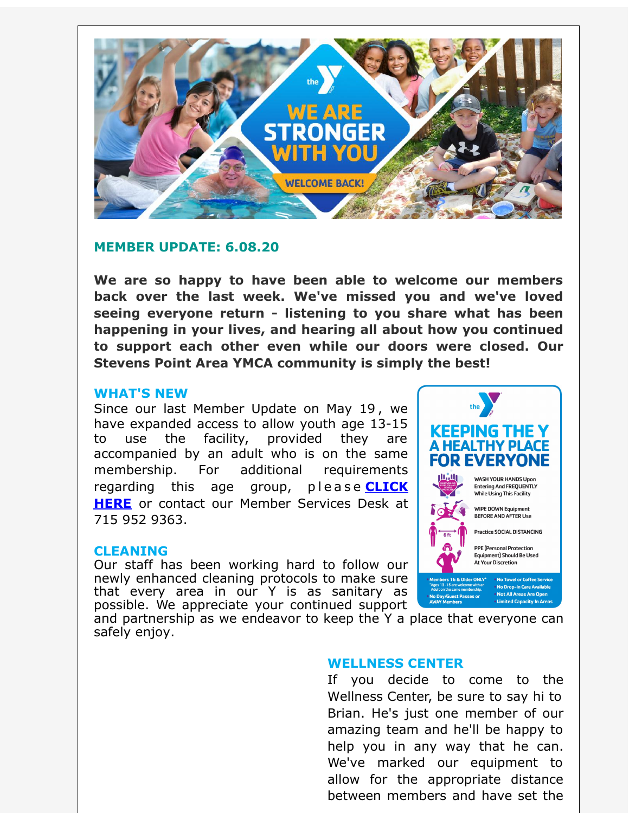

# **MEMBER UPDATE: 6.08.20**

**We are so happy to have been able to welcome our members back over the last week. We've missed you and we've loved seeing everyone return - listening to you share what has been happening in your lives, and hearing all about how you continued to support each other even while our doors were closed. Our Stevens Point Area YMCA community is simply the best!**

### **WHAT'S NEW**

Since our last Member Update on May 19 , we have expanded access to allow youth age 13-15 to use the facility, provided they are accompanied by an adult who is on the same membership. For additional requirements [regarding](http://r20.rs6.net/tn.jsp?f=001Url5TfKySafj063WmEM-0yfXH9GxiNmUYZg2SZH0NkL4xytGnKDnLQ4nx9uLau0hhYsw7B_NHCxGT8_BSXqn9K2xeJuVAcDhqwElX4LOiVWc6wd_aLZCjhXFvaIS0zS-8zW4c1G_5Y4VCJ09hST24mQCiNEY0CtZXdYdUzzYneA6EorPTr8NJ2Z1KfGxUVYHNT3bmWUoLIcfKQf2ccbC9Fu1DCgrMeYBSnlDxRc5iWwD-QMyqgFSThMQOOnToup70_Xl54NDlAYBzmJ9gMZELTobsnYvQo8WgDiiP6fmdYVdY9DJ9ffMVaiWIgISBaAuVnFARIKELjvdbCZPsAGavjyUwDgx1gcgthOUN0VOaNOqnnG-3ivGcXFVHjlJSRrf&c=&ch=) this age group, please **CLICK HERE** or contact our Member Services Desk at 715 952 9363.

### **CLEANING**

Our staff has been working hard to follow our newly enhanced cleaning protocols to make sure that every area in our Y is as sanitary as possible. We appreciate your continued support



and partnership as we endeavor to keep the Y a place that everyone can safely enjoy.

# **WELLNESS CENTER**

If you decide to come to the Wellness Center, be sure to say hi to Brian. He's just one member of our amazing team and he'll be happy to help you in any way that he can. We've marked our equipment to allow for the appropriate distance between members and have set the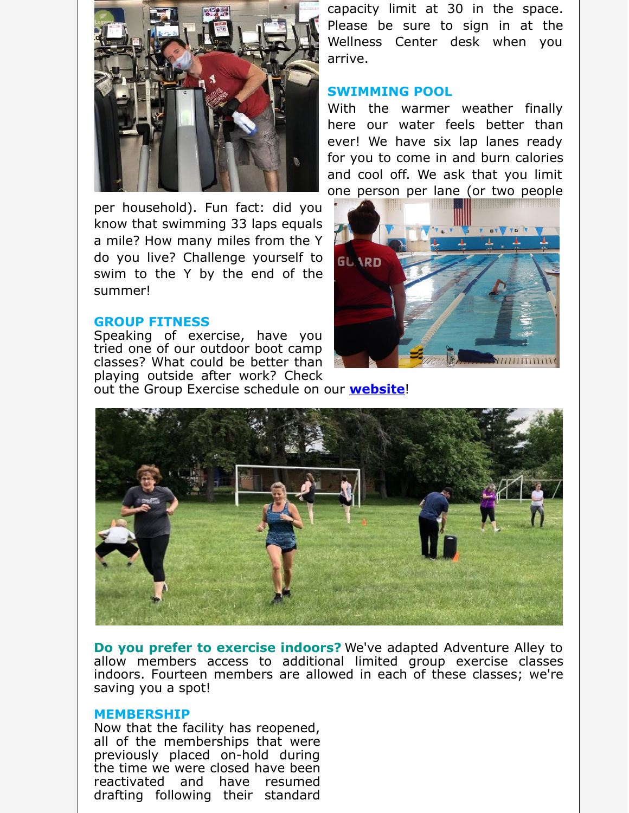

per household). Fun fact: did you know that swimming 33 laps equals a mile? How many miles from the Y do you live? Challenge yourself to swim to the Y by the end of the summer!

#### **GROUP FITNESS**

Speaking of exercise, have you tried one of our outdoor boot camp classes? What could be better than playing outside after work? Check out the Group Exercise schedule on our **[website](http://r20.rs6.net/tn.jsp?f=001Url5TfKySafj063WmEM-0yfXH9GxiNmUYZg2SZH0NkL4xytGnKDnLZQPaGTyFPxo9R1KmwSFx1dtq8xZq5XV2PvWK498c7B0nHDyjY_BuVgvyIdowwBvhXZz5teE4gCJSBjZWiFeqGvjmiOqHkPqF1qOBugYd4DasoJiOHfdiSCj3zL7RSacyyE0zsjA6ZQl3Hn4VhHpdgDjLonDZvzbS5-c0jy319mMObc9l2qfWsxCdRztthAa9LLGO8vcEYcdmZqILcJjG_hfJMRUZ-kM2rb3AXuly4TLgPhh7-MMSD2b5ps1GJZ7Cg==&c=&ch=)**!

capacity limit at 30 in the space. Please be sure to sign in at the Wellness Center desk when you arrive.

## **SWIMMING POOL**

With the warmer weather finally here our water feels better than ever! We have six lap lanes ready for you to come in and burn calories and cool off. We ask that you limit one person per lane (or two people





**Do you prefer to exercise indoors?** We've adapted Adventure Alley to allow members access to additional limited group exercise classes indoors. Fourteen members are allowed in each of these classes; we're saving you a spot!

#### **MEMBERSHIP**

Now that the facility has reopened, all of the memberships that were previously placed on-hold during the time we were closed have been reactivated and have resumed drafting following their standard